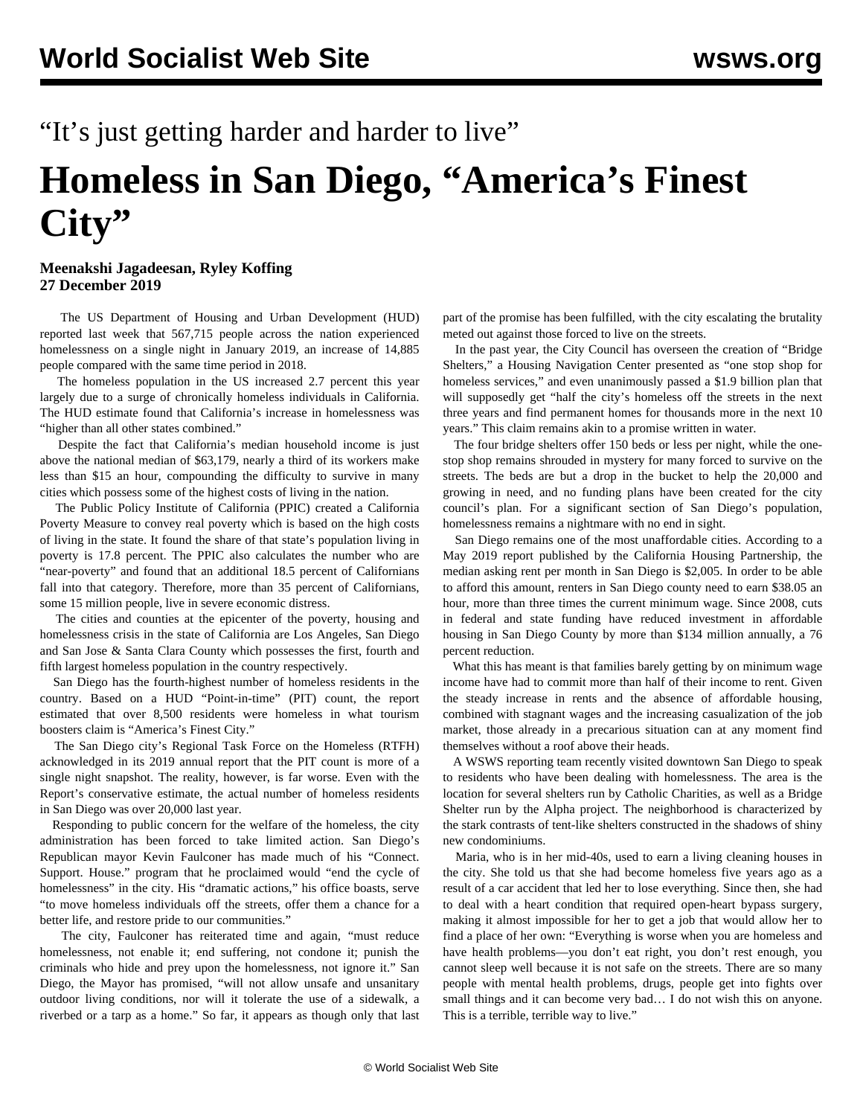## "It's just getting harder and harder to live"

## **Homeless in San Diego, "America's Finest City"**

## **Meenakshi Jagadeesan, Ryley Koffing 27 December 2019**

 The US Department of Housing and Urban Development (HUD) reported last week that 567,715 people across the nation experienced homelessness on a single night in January 2019, an increase of 14,885 people compared with the same time period in 2018.

 The homeless population in the US increased 2.7 percent this year largely due to a surge of chronically homeless individuals in California. The HUD estimate found that California's increase in homelessness was "higher than all other states combined."

 Despite the fact that California's median household income is just above the national median of \$63,179, nearly a third of its workers make less than \$15 an hour, compounding the difficulty to survive in many cities which possess some of the highest costs of living in the nation.

 The Public Policy Institute of California (PPIC) created a California Poverty Measure to convey real poverty which is based on the high costs of living in the state. It found the share of that state's population living in poverty is 17.8 percent. The PPIC also calculates the number who are "near-poverty" and found that an additional 18.5 percent of Californians fall into that category. Therefore, more than 35 percent of Californians, some 15 million people, live in severe economic distress.

 The cities and counties at the epicenter of the poverty, housing and homelessness crisis in the state of California are Los Angeles, San Diego and San Jose & Santa Clara County which possesses the first, fourth and fifth largest homeless population in the country respectively.

 San Diego has the fourth-highest number of homeless residents in the country. Based on a HUD "Point-in-time" (PIT) count, the report estimated that over 8,500 residents were homeless in what tourism boosters claim is "America's Finest City."

 The San Diego city's Regional Task Force on the Homeless (RTFH) acknowledged in its 2019 annual report that the PIT count is more of a single night snapshot. The reality, however, is far worse. Even with the Report's conservative estimate, the actual number of homeless residents in San Diego was over 20,000 last year.

 Responding to public concern for the welfare of the homeless, the city administration has been forced to take limited action. San Diego's Republican mayor Kevin Faulconer has made much of his "Connect. Support. House." program that he proclaimed would "end the cycle of homelessness" in the city. His "dramatic actions," his office boasts, serve "to move homeless individuals off the streets, offer them a chance for a better life, and restore pride to our communities."

 The city, Faulconer has reiterated time and again, "must reduce homelessness, not enable it; end suffering, not condone it; punish the criminals who hide and prey upon the homelessness, not ignore it." San Diego, the Mayor has promised, "will not allow unsafe and unsanitary outdoor living conditions, nor will it tolerate the use of a sidewalk, a riverbed or a tarp as a home." So far, it appears as though only that last part of the promise has been fulfilled, with the city escalating the brutality meted out against those forced to live on the streets.

 In the past year, the City Council has overseen the creation of "Bridge Shelters," a Housing Navigation Center presented as "one stop shop for homeless services," and even unanimously passed a \$1.9 billion plan that will supposedly get "half the city's homeless off the streets in the next three years and find permanent homes for thousands more in the next 10 years." This claim remains akin to a promise written in water.

 The four bridge shelters offer 150 beds or less per night, while the onestop shop remains shrouded in mystery for many forced to survive on the streets. The beds are but a drop in the bucket to help the 20,000 and growing in need, and no funding plans have been created for the city council's plan. For a significant section of San Diego's population, homelessness remains a nightmare with no end in sight.

 San Diego remains one of the most unaffordable cities. According to a May 2019 report published by the California Housing Partnership, the median asking rent per month in San Diego is \$2,005. In order to be able to afford this amount, renters in San Diego county need to earn \$38.05 an hour, more than three times the current minimum wage. Since 2008, cuts in federal and state funding have reduced investment in affordable housing in San Diego County by more than \$134 million annually, a 76 percent reduction.

 What this has meant is that families barely getting by on minimum wage income have had to commit more than half of their income to rent. Given the steady increase in rents and the absence of affordable housing, combined with stagnant wages and the increasing casualization of the job market, those already in a precarious situation can at any moment find themselves without a roof above their heads.

 A WSWS reporting team recently visited downtown San Diego to speak to residents who have been dealing with homelessness. The area is the location for several shelters run by Catholic Charities, as well as a Bridge Shelter run by the Alpha project. The neighborhood is characterized by the stark contrasts of tent-like shelters constructed in the shadows of shiny new condominiums.

 Maria, who is in her mid-40s, used to earn a living cleaning houses in the city. She told us that she had become homeless five years ago as a result of a car accident that led her to lose everything. Since then, she had to deal with a heart condition that required open-heart bypass surgery, making it almost impossible for her to get a job that would allow her to find a place of her own: "Everything is worse when you are homeless and have health problems—you don't eat right, you don't rest enough, you cannot sleep well because it is not safe on the streets. There are so many people with mental health problems, drugs, people get into fights over small things and it can become very bad… I do not wish this on anyone. This is a terrible, terrible way to live."